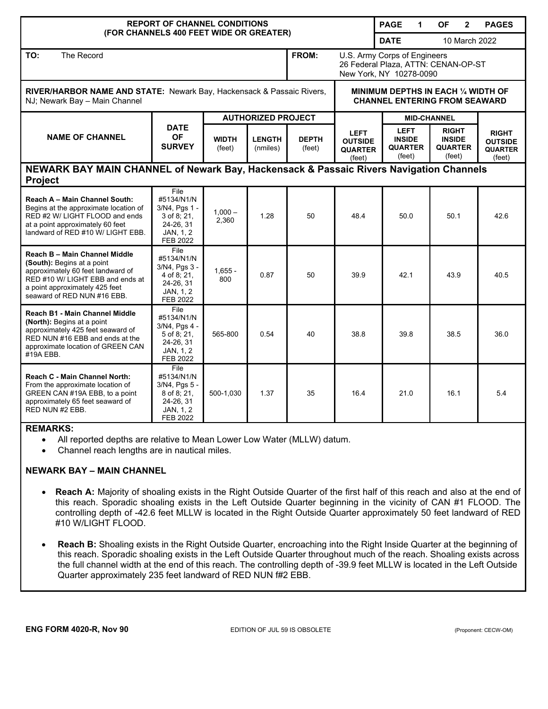| <b>REPORT OF CHANNEL CONDITIONS</b><br>(FOR CHANNELS 400 FEET WIDE OR GREATER)                                                                                                                        |                                                                                            |                           |                           |                        |                                                                                                | <b>PAGE</b><br>1                                         | <b>OF</b><br>$\overline{2}$                               | <b>PAGES</b>                                               |
|-------------------------------------------------------------------------------------------------------------------------------------------------------------------------------------------------------|--------------------------------------------------------------------------------------------|---------------------------|---------------------------|------------------------|------------------------------------------------------------------------------------------------|----------------------------------------------------------|-----------------------------------------------------------|------------------------------------------------------------|
|                                                                                                                                                                                                       |                                                                                            |                           |                           |                        |                                                                                                | <b>DATE</b><br>10 March 2022                             |                                                           |                                                            |
| TO:<br>The Record                                                                                                                                                                                     |                                                                                            |                           |                           | FROM:                  | U.S. Army Corps of Engineers<br>26 Federal Plaza, ATTN: CENAN-OP-ST<br>New York, NY 10278-0090 |                                                          |                                                           |                                                            |
| RIVER/HARBOR NAME AND STATE: Newark Bay, Hackensack & Passaic Rivers,<br>NJ; Newark Bay - Main Channel                                                                                                |                                                                                            |                           |                           |                        | MINIMUM DEPTHS IN EACH 1/4 WIDTH OF<br><b>CHANNEL ENTERING FROM SEAWARD</b>                    |                                                          |                                                           |                                                            |
| <b>NAME OF CHANNEL</b>                                                                                                                                                                                | <b>DATE</b><br><b>OF</b><br><b>SURVEY</b>                                                  | <b>AUTHORIZED PROJECT</b> |                           |                        |                                                                                                |                                                          | <b>MID-CHANNEL</b>                                        |                                                            |
|                                                                                                                                                                                                       |                                                                                            | <b>WIDTH</b><br>(feet)    | <b>LENGTH</b><br>(nmiles) | <b>DEPTH</b><br>(feet) | <b>LEFT</b><br><b>OUTSIDE</b><br><b>QUARTER</b><br>(feet)                                      | <b>LEFT</b><br><b>INSIDE</b><br><b>QUARTER</b><br>(feet) | <b>RIGHT</b><br><b>INSIDE</b><br><b>QUARTER</b><br>(feet) | <b>RIGHT</b><br><b>OUTSIDE</b><br><b>QUARTER</b><br>(feet) |
| NEWARK BAY MAIN CHANNEL of Newark Bay, Hackensack & Passaic Rivers Navigation Channels<br><b>Project</b>                                                                                              |                                                                                            |                           |                           |                        |                                                                                                |                                                          |                                                           |                                                            |
| Reach A - Main Channel South:<br>Begins at the approximate location of<br>RED #2 W/ LIGHT FLOOD and ends<br>at a point approximately 60 feet<br>landward of RED #10 W/ LIGHT EBB.                     | File<br>#5134/N1/N<br>3/N4, Pgs 1 -<br>$3$ of 8; 21,<br>24-26, 31<br>JAN, 1, 2<br>FEB 2022 | $1,000 -$<br>2,360        | 1.28                      | 50                     | 48.4                                                                                           | 50.0                                                     | 50.1                                                      | 42.6                                                       |
| Reach B - Main Channel Middle<br>(South): Begins at a point<br>approximately 60 feet landward of<br>RED #10 W/ LIGHT EBB and ends at<br>a point approximately 425 feet<br>seaward of RED NUN #16 EBB. | File<br>#5134/N1/N<br>3/N4, Pgs 3 -<br>4 of 8; 21,<br>24-26, 31<br>JAN, 1, 2<br>FEB 2022   | $1,655 -$<br>800          | 0.87                      | 50                     | 39.9                                                                                           | 42.1                                                     | 43.9                                                      | 40.5                                                       |
| Reach B1 - Main Channel Middle<br>(North): Begins at a point<br>approximately 425 feet seaward of<br>RED NUN #16 EBB and ends at the<br>approximate location of GREEN CAN<br>#19A EBB.                | File<br>#5134/N1/N<br>3/N4, Pgs 4 -<br>$5$ of 8; 21,<br>24-26, 31<br>JAN, 1, 2<br>FEB 2022 | 565-800                   | 0.54                      | 40                     | 38.8                                                                                           | 39.8                                                     | 38.5                                                      | 36.0                                                       |
| <b>Reach C - Main Channel North:</b><br>From the approximate location of<br>GREEN CAN #19A EBB, to a point<br>approximately 65 feet seaward of<br>RED NUN #2 EBB.                                     | File<br>#5134/N1/N<br>3/N4, Pgs 5 -<br>8 of 8:21,<br>24-26, 31<br>JAN, 1, 2<br>FEB 2022    | 500-1,030                 | 1.37                      | 35                     | 16.4                                                                                           | 21.0                                                     | 16.1                                                      | 5.4                                                        |

## **REMARKS:**

- All reported depths are relative to Mean Lower Low Water (MLLW) datum.
- Channel reach lengths are in nautical miles.

## **NEWARK BAY – MAIN CHANNEL**

- **Reach A:** Majority of shoaling exists in the Right Outside Quarter of the first half of this reach and also at the end of this reach. Sporadic shoaling exists in the Left Outside Quarter beginning in the vicinity of CAN #1 FLOOD. The controlling depth of -42.6 feet MLLW is located in the Right Outside Quarter approximately 50 feet landward of RED #10 W/LIGHT FLOOD.
- **Reach B:** Shoaling exists in the Right Outside Quarter, encroaching into the Right Inside Quarter at the beginning of this reach. Sporadic shoaling exists in the Left Outside Quarter throughout much of the reach. Shoaling exists across the full channel width at the end of this reach. The controlling depth of -39.9 feet MLLW is located in the Left Outside Quarter approximately 235 feet landward of RED NUN f#2 EBB.